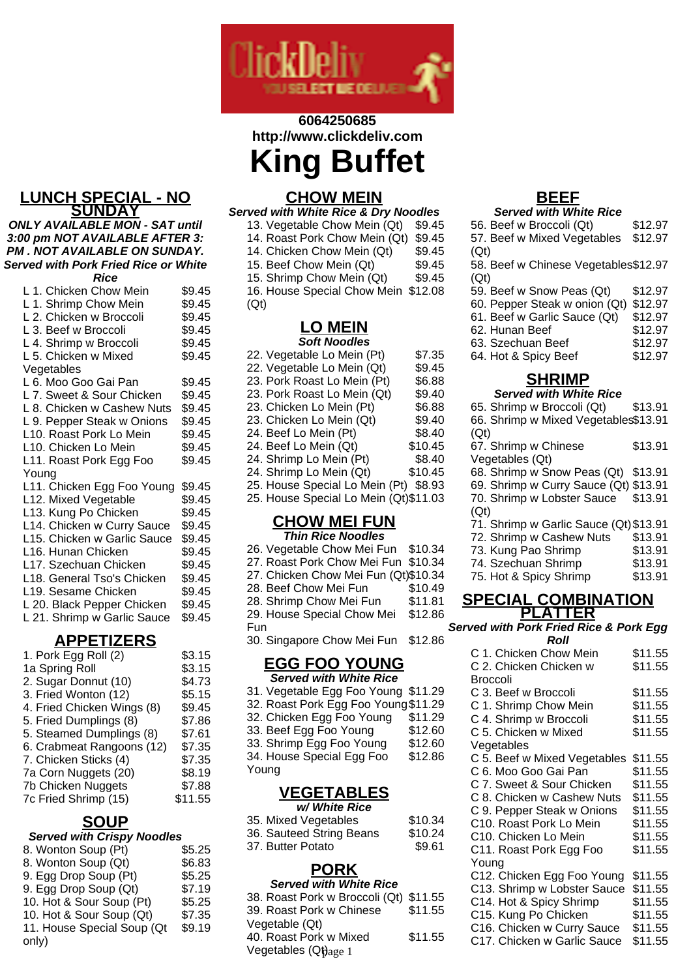

# **6064250685 http://www.clickdeliv.com**

**King Buffet**

## **CHOW MEIN**

### **Served with White Rice & Dry Noodles**

- 13. Vegetable Chow Mein (Qt) \$9.45 14. Roast Pork Chow Mein (Qt) \$9.45
- 14. Chicken Chow Mein (Qt) \$9.45
- 15. Beef Chow Mein (Qt) \$9.45
- 15. Shrimp Chow Mein (Qt) \$9.45
- 16. House Special Chow Mein \$12.08  $(Qt)$

## **LO MEIN**

| <b>Soft Noodles</b>                   |         |  |
|---------------------------------------|---------|--|
| 22. Vegetable Lo Mein (Pt)            | \$7.35  |  |
| 22. Vegetable Lo Mein (Qt)            | \$9.45  |  |
| 23. Pork Roast Lo Mein (Pt)           | \$6.88  |  |
| 23. Pork Roast Lo Mein (Qt)           | \$9.40  |  |
| 23. Chicken Lo Mein (Pt)              | \$6.88  |  |
| 23. Chicken Lo Mein (Qt)              | \$9.40  |  |
| 24. Beef Lo Mein (Pt)                 | \$8.40  |  |
| 24. Beef Lo Mein (Qt)                 | \$10.45 |  |
| 24. Shrimp Lo Mein (Pt)               | \$8.40  |  |
| 24. Shrimp Lo Mein (Qt)               | \$10.45 |  |
| 25. House Special Lo Mein (Pt)        | \$8.93  |  |
| 25. House Special Lo Mein (Qt)\$11.03 |         |  |
|                                       |         |  |

#### **CHOW MEI FUN Thin Rice Noodles**

26. Vegetable Chow Mei Fun \$10.34 27. Roast Pork Chow Mei Fun \$10.34 27. Chicken Chow Mei Fun (Qt)\$10.34 28. Beef Chow Mei Fun \$10.49 28. Shrimp Chow Mei Fun \$11.81 29. House Special Chow Mei Fun \$12.86 30. Singapore Chow Mei Fun \$12.86

#### **EGG FOO YOUNG Served with White Rice**

| 31. Vegetable Egg Foo Young \$11.29  |         |
|--------------------------------------|---------|
| 32. Roast Pork Egg Foo Young \$11.29 |         |
| 32. Chicken Egg Foo Young            | \$11.29 |
| 33. Beef Egg Foo Young               | \$12.60 |
| 33. Shrimp Egg Foo Young             | \$12.60 |
| 34. House Special Egg Foo            | \$12.86 |
| Young                                |         |
|                                      |         |

## **VEGETABLES**

| w/White Rice             |         |
|--------------------------|---------|
| 35. Mixed Vegetables     | \$10.34 |
| 36. Sauteed String Beans | \$10.24 |
| 37. Butter Potato        | \$9.61  |

## **PORK**

## **Served with White Rice**

38. Roast Pork w Broccoli (Qt) \$11.55 39. Roast Pork w Chinese Vegetable (Qt) \$11.55 40. Roast Pork w Mixed Vegetables (Qt)age 1 \$11.55

## **BEEF**

|   | <b>Served with White Rice</b> |  |
|---|-------------------------------|--|
| _ |                               |  |

- 56. Beef w Broccoli (Qt) \$12.97 57. Beef w Mixed Vegetables (Qt) \$12.97 58. Beef w Chinese Vegetables \$12.97  $(Qt)$
- 59. Beef w Snow Peas (Qt) \$12.97
- 60. Pepper Steak w onion (Qt) \$12.97
- 61. Beef w Garlic Sauce (Qt) \$12.97
- 62. Hunan Beef \$12.97
- 63. Szechuan Beef  $$12.97$
- 64. Hot & Spicy Beef \$12.97

## **SHRIMP**

### **Served with White Rice**

| 65. Shrimp w Broccoli (Qt)             | \$13.91 |
|----------------------------------------|---------|
| 66. Shrimp w Mixed Vegetables\$13.91   |         |
| (Qt)                                   |         |
| 67. Shrimp w Chinese                   | \$13.91 |
| Vegetables (Qt)                        |         |
| 68. Shrimp w Snow Peas (Qt)            | \$13.91 |
| 69. Shrimp w Curry Sauce (Qt) \$13.91  |         |
| 70. Shrimp w Lobster Sauce             | \$13.91 |
| (Qt)                                   |         |
| 71. Shrimp w Garlic Sauce (Qt) \$13.91 |         |
| 72. Shrimp w Cashew Nuts               | \$13.91 |
| 73. Kung Pao Shrimp                    | \$13.91 |
| 74. Szechuan Shrimp                    | \$13.91 |
| 75. Hot & Spicy Shrimp                 | \$13.91 |

### **SPECIAL COMBINATION PLATTER**

### **Served with Pork Fried Rice & Pork Egg**

| Roll                         |         |
|------------------------------|---------|
| C 1. Chicken Chow Mein       | \$11.55 |
| C 2. Chicken Chicken w       | \$11.55 |
| Broccoli                     |         |
| C 3. Beef w Broccoli         | \$11.55 |
| C 1. Shrimp Chow Mein        | \$11.55 |
| C 4. Shrimp w Broccoli       | \$11.55 |
| C 5. Chicken w Mixed         | \$11.55 |
| Vegetables                   |         |
| C 5. Beef w Mixed Vegetables | \$11.55 |
| C 6. Moo Goo Gai Pan         | \$11.55 |
| C 7. Sweet & Sour Chicken    | \$11.55 |
| C 8. Chicken w Cashew Nuts   | \$11.55 |
| C 9. Pepper Steak w Onions   | \$11.55 |
| C10. Roast Pork Lo Mein      | \$11.55 |
| C10. Chicken Lo Mein         | \$11.55 |
| C11. Roast Pork Egg Foo      | \$11.55 |
| Young                        |         |
| C12. Chicken Egg Foo Young   | \$11.55 |
| C13. Shrimp w Lobster Sauce  | \$11.55 |
| C14. Hot & Spicy Shrimp      | \$11.55 |
| C15. Kung Po Chicken         | \$11.55 |
| C16. Chicken w Curry Sauce   | \$11.55 |
| C17. Chicken w Garlic Sauce  | \$11.55 |
|                              |         |

#### **LUNCH SPECIAL - NO SUNDAY ONLY AVAILABLE MON - SAT until**

**3:00 pm NOT AVAILABLE AFTER 3: PM . NOT AVAILABLE ON SUNDAY.**<br>Served with Pork Fried Rice or White w<br>*White* 

| erved with Pork Fried Rice or White |        |
|-------------------------------------|--------|
| Rice                                |        |
| L 1. Chicken Chow Mein              | \$9.45 |
| L 1. Shrimp Chow Mein               | \$9.45 |
| L 2. Chicken w Broccoli             | \$9.45 |
| L 3. Beef w Broccoli                | \$9.45 |
| L 4. Shrimp w Broccoli              | \$9.45 |
| L 5. Chicken w Mixed                | \$9.45 |
| Vegetables                          |        |
| L 6. Moo Goo Gai Pan                | \$9.45 |
| L 7. Sweet & Sour Chicken           | \$9.45 |
| L 8. Chicken w Cashew Nuts          | \$9.45 |
| L 9. Pepper Steak w Onions          | \$9.45 |
| L10. Roast Pork Lo Mein             | \$9.45 |
| L10. Chicken Lo Mein                | \$9.45 |
| L11. Roast Pork Egg Foo             | \$9.45 |
| Young                               |        |
| L11. Chicken Egg Foo Young          | \$9.45 |
| L12. Mixed Vegetable                | \$9.45 |
| L13. Kung Po Chicken                | \$9.45 |
| L14. Chicken w Curry Sauce          | \$9.45 |
| L15. Chicken w Garlic Sauce         | \$9.45 |
| L16. Hunan Chicken                  | \$9.45 |
| L17. Szechuan Chicken               | \$9.45 |
| L18. General Tso's Chicken          | \$9.45 |
| L19. Sesame Chicken                 | \$9.45 |
| L 20. Black Pepper Chicken          | \$9.45 |
| L 21. Shrimp w Garlic Sauce         | \$9.45 |
|                                     |        |

## **APPETIZERS**

| 1. Pork Egg Roll (2)       | \$3.15  |
|----------------------------|---------|
| 1a Spring Roll             | \$3.15  |
| 2. Sugar Donnut (10)       | \$4.73  |
| 3. Fried Wonton (12)       | \$5.15  |
| 4. Fried Chicken Wings (8) | \$9.45  |
| 5. Fried Dumplings (8)     | \$7.86  |
| 5. Steamed Dumplings (8)   | \$7.61  |
| 6. Crabmeat Rangoons (12)  | \$7.35  |
| 7. Chicken Sticks (4)      | \$7.35  |
| 7a Corn Nuggets (20)       | \$8.19  |
| 7b Chicken Nuggets         | \$7.88  |
| 7c Fried Shrimp (15)       | \$11.55 |
|                            |         |

## **SOUP**

## **Served with Crispy Noodles**

| <u>survance</u> man only noodled |        |
|----------------------------------|--------|
| 8. Wonton Soup (Pt)              | \$5.25 |
| 8. Wonton Soup (Qt)              | \$6.83 |
| 9. Egg Drop Soup (Pt)            | \$5.25 |
| 9. Egg Drop Soup (Qt)            | \$7.19 |
| 10. Hot & Sour Soup (Pt)         | \$5.25 |
| 10. Hot & Sour Soup (Qt)         | \$7.35 |
| 11. House Special Soup (Qt       | \$9.19 |
| only)                            |        |
|                                  |        |